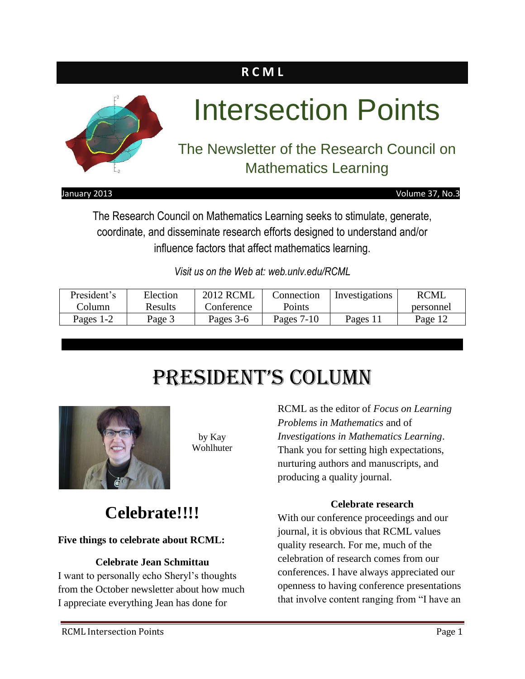### **R C M L**



#### January 2013 Volume 37, No.3

The Research Council on Mathematics Learning seeks to stimulate, generate, coordinate, and disseminate research efforts designed to understand and/or influence factors that affect mathematics learning.

*Visit us on the Web at: web.unlv.edu/RCML*

| President's | Election | <b>2012 RCML</b> | Connection   | Investigations | <b>RCML</b> |
|-------------|----------|------------------|--------------|----------------|-------------|
| Column      | Results  | Conference       | Points       |                | personnel   |
| Pages 1-2   | Page 3   | Pages 3-6        | Pages $7-10$ | Pages 11       | Page 12     |

## President's Column



by Kay Wohlhuter

### **Celebrate!!!!**

### **Five things to celebrate about RCML:**

### **Celebrate Jean Schmittau**

I want to personally echo Sheryl's thoughts from the October newsletter about how much I appreciate everything Jean has done for

RCML as the editor of *Focus on Learning Problems in Mathematics* and of *Investigations in Mathematics Learning*. Thank you for setting high expectations, nurturing authors and manuscripts, and producing a quality journal.

### **Celebrate research**

With our conference proceedings and our journal, it is obvious that RCML values quality research. For me, much of the celebration of research comes from our conferences. I have always appreciated our openness to having conference presentations that involve content ranging from "I have an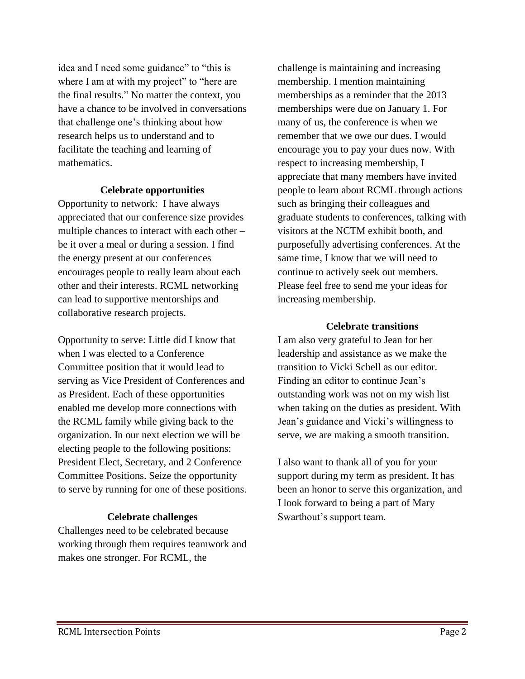idea and I need some guidance" to "this is where I am at with my project" to "here are the final results." No matter the context, you have a chance to be involved in conversations that challenge one's thinking about how research helps us to understand and to facilitate the teaching and learning of mathematics.

### **Celebrate opportunities**

Opportunity to network: I have always appreciated that our conference size provides multiple chances to interact with each other – be it over a meal or during a session. I find the energy present at our conferences encourages people to really learn about each other and their interests. RCML networking can lead to supportive mentorships and collaborative research projects.

Opportunity to serve: Little did I know that when I was elected to a Conference Committee position that it would lead to serving as Vice President of Conferences and as President. Each of these opportunities enabled me develop more connections with the RCML family while giving back to the organization. In our next election we will be electing people to the following positions: President Elect, Secretary, and 2 Conference Committee Positions. Seize the opportunity to serve by running for one of these positions.

### **Celebrate challenges**

Challenges need to be celebrated because working through them requires teamwork and makes one stronger. For RCML, the

challenge is maintaining and increasing membership. I mention maintaining memberships as a reminder that the 2013 memberships were due on January 1. For many of us, the conference is when we remember that we owe our dues. I would encourage you to pay your dues now. With respect to increasing membership, I appreciate that many members have invited people to learn about RCML through actions such as bringing their colleagues and graduate students to conferences, talking with visitors at the NCTM exhibit booth, and purposefully advertising conferences. At the same time, I know that we will need to continue to actively seek out members. Please feel free to send me your ideas for increasing membership.

#### **Celebrate transitions**

I am also very grateful to Jean for her leadership and assistance as we make the transition to Vicki Schell as our editor. Finding an editor to continue Jean's outstanding work was not on my wish list when taking on the duties as president. With Jean's guidance and Vicki's willingness to serve, we are making a smooth transition.

I also want to thank all of you for your support during my term as president. It has been an honor to serve this organization, and I look forward to being a part of Mary Swarthout's support team.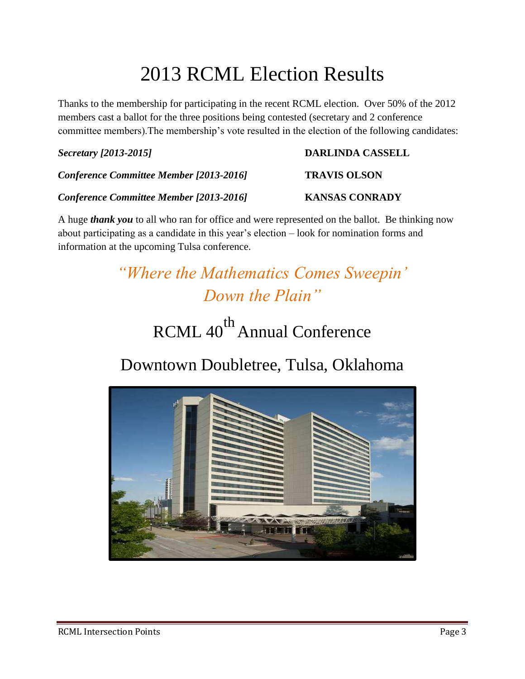## 2013 RCML Election Results

Thanks to the membership for participating in the recent RCML election. Over 50% of the 2012 members cast a ballot for the three positions being contested (secretary and 2 conference committee members).The membership's vote resulted in the election of the following candidates:

### *Secretary [2013-2015]* **DARLINDA CASSELL**

*Conference Committee Member [2013-2016]* **TRAVIS OLSON**

*Conference Committee Member [2013-2016]* **KANSAS CONRADY**

A huge *thank you* to all who ran for office and were represented on the ballot. Be thinking now about participating as a candidate in this year's election – look for nomination forms and information at the upcoming Tulsa conference.

> *"Where the Mathematics Comes Sweepin' Down the Plain"*

# RCML 40<sup>th</sup> Annual Conference

### Downtown Doubletree, Tulsa, Oklahoma

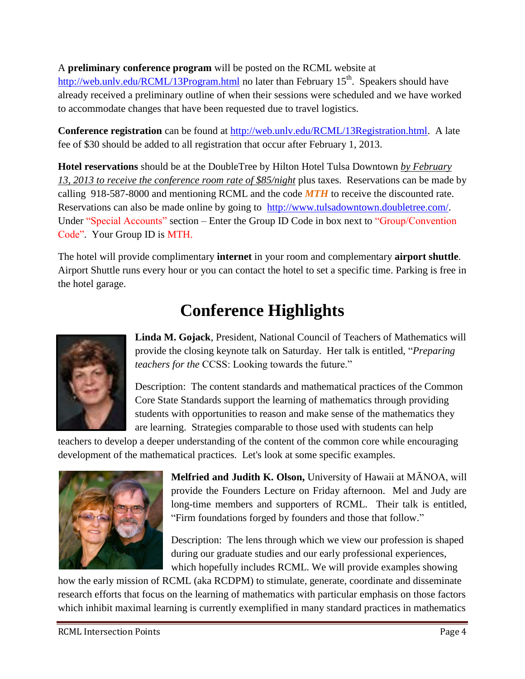A **preliminary conference program** will be posted on the RCML website at <http://web.unlv.edu/RCML/13Program.html> no later than February 15<sup>th</sup>. Speakers should have already received a preliminary outline of when their sessions were scheduled and we have worked to accommodate changes that have been requested due to travel logistics.

**Conference registration** can be found at http://web.unly.edu/RCML/13Registration.html. A late fee of \$30 should be added to all registration that occur after February 1, 2013.

**Hotel reservations** should be at the DoubleTree by Hilton Hotel Tulsa Downtown *by February 13, 2013 to receive the conference room rate of \$85/night* plus taxes. Reservations can be made by calling 918-587-8000 and mentioning RCML and the code *MTH* to receive the discounted rate. Reservations can also be made online by going to [http://www.tulsadowntown.doubletree.com/.](http://www.tulsadowntown.doubletree.com/) Under "Special Accounts" section – Enter the Group ID Code in box next to "Group/Convention" Code". Your Group ID is MTH.

The hotel will provide complimentary **internet** in your room and complementary **airport shuttle**. Airport Shuttle runs every hour or you can contact the hotel to set a specific time. Parking is free in the hotel garage.

### **Conference Highlights**



**Linda M. Gojack**, President, National Council of Teachers of Mathematics will provide the closing keynote talk on Saturday. Her talk is entitled, "*Preparing teachers for the* CCSS: Looking towards the future."

Description: The content standards and mathematical practices of the Common Core State Standards support the learning of mathematics through providing students with opportunities to reason and make sense of the mathematics they are learning. Strategies comparable to those used with students can help

teachers to develop a deeper understanding of the content of the common core while encouraging development of the mathematical practices. Let's look at some specific examples.



**Melfried and Judith K. Olson,** University of Hawaii at MĀNOA, will provide the Founders Lecture on Friday afternoon. Mel and Judy are long-time members and supporters of RCML. Their talk is entitled, "Firm foundations forged by founders and those that follow."

Description: The lens through which we view our profession is shaped during our graduate studies and our early professional experiences, which hopefully includes RCML. We will provide examples showing

how the early mission of RCML (aka RCDPM) to stimulate, generate, coordinate and disseminate research efforts that focus on the learning of mathematics with particular emphasis on those factors which inhibit maximal learning is currently exemplified in many standard practices in mathematics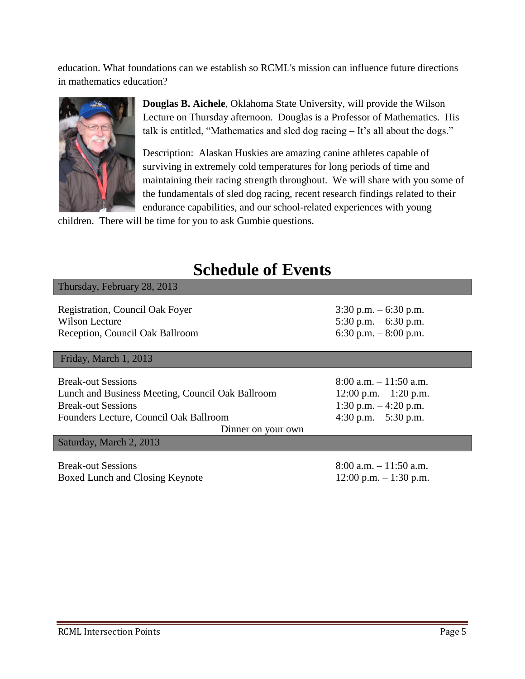education. What foundations can we establish so RCML's mission can influence future directions in mathematics education?



**Douglas B. Aichele**, Oklahoma State University, will provide the Wilson Lecture on Thursday afternoon. Douglas is a Professor of Mathematics. His talk is entitled, "Mathematics and sled dog racing – It's all about the dogs."

Description: Alaskan Huskies are amazing canine athletes capable of surviving in extremely cold temperatures for long periods of time and maintaining their racing strength throughout. We will share with you some of the fundamentals of sled dog racing, recent research findings related to their endurance capabilities, and our school-related experiences with young

children. There will be time for you to ask Gumbie questions.

### **Schedule of Events**

| Thursday, February 28, 2013                                                                                                                                                |                                                                                                            |  |  |  |
|----------------------------------------------------------------------------------------------------------------------------------------------------------------------------|------------------------------------------------------------------------------------------------------------|--|--|--|
| Registration, Council Oak Foyer<br><b>Wilson Lecture</b><br>Reception, Council Oak Ballroom                                                                                | $3:30$ p.m. $-6:30$ p.m.<br>5:30 p.m. $-6:30$ p.m.<br>6:30 p.m. $-8:00$ p.m.                               |  |  |  |
| Friday, March 1, 2013                                                                                                                                                      |                                                                                                            |  |  |  |
| <b>Break-out Sessions</b><br>Lunch and Business Meeting, Council Oak Ballroom<br><b>Break-out Sessions</b><br>Founders Lecture, Council Oak Ballroom<br>Dinner on your own | $8:00$ a.m. $-11:50$ a.m.<br>$12:00$ p.m. $-1:20$ p.m.<br>1:30 p.m. $-4:20$ p.m.<br>4:30 p.m. $-5:30$ p.m. |  |  |  |
| Saturday, March 2, 2013                                                                                                                                                    |                                                                                                            |  |  |  |
| <b>Break-out Sessions</b><br>Boxed Lunch and Closing Keynote                                                                                                               | $8:00$ a.m. $-11:50$ a.m.<br>$12:00$ p.m. $-1:30$ p.m.                                                     |  |  |  |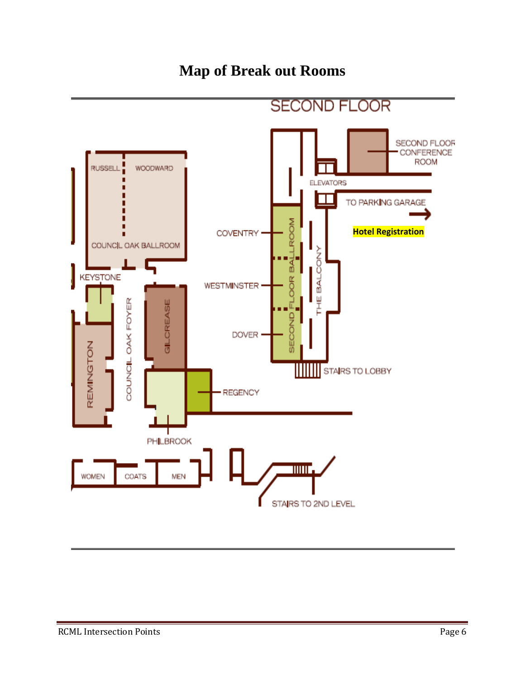### **Map of Break out Rooms**

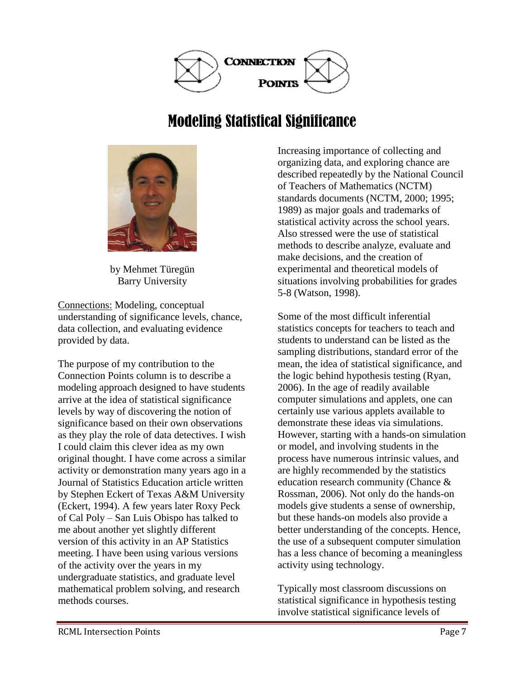

### Modeling Statistical Significance



by Mehmet Türegün Barry University

Connections: Modeling, conceptual understanding of significance levels, chance, data collection, and evaluating evidence provided by data.

The purpose of my contribution to the Connection Points column is to describe a modeling approach designed to have students arrive at the idea of statistical significance levels by way of discovering the notion of significance based on their own observations as they play the role of data detectives. I wish I could claim this clever idea as my own original thought. I have come across a similar activity or demonstration many years ago in a Journal of Statistics Education article written by Stephen Eckert of Texas A&M University (Eckert, 1994). A few years later Roxy Peck of Cal Poly – San Luis Obispo has talked to me about another yet slightly different version of this activity in an AP Statistics meeting. I have been using various versions of the activity over the years in my undergraduate statistics, and graduate level mathematical problem solving, and research methods courses.

Increasing importance of collecting and organizing data, and exploring chance are described repeatedly by the National Council of Teachers of Mathematics (NCTM) standards documents (NCTM, 2000; 1995; 1989) as major goals and trademarks of statistical activity across the school years. Also stressed were the use of statistical methods to describe analyze, evaluate and make decisions, and the creation of experimental and theoretical models of situations involving probabilities for grades 5-8 (Watson, 1998).

Some of the most difficult inferential statistics concepts for teachers to teach and students to understand can be listed as the sampling distributions, standard error of the mean, the idea of statistical significance, and the logic behind hypothesis testing (Ryan, 2006). In the age of readily available computer simulations and applets, one can certainly use various applets available to demonstrate these ideas via simulations. However, starting with a hands-on simulation or model, and involving students in the process have numerous intrinsic values, and are highly recommended by the statistics education research community (Chance & Rossman, 2006). Not only do the hands-on models give students a sense of ownership, but these hands-on models also provide a better understanding of the concepts. Hence, the use of a subsequent computer simulation has a less chance of becoming a meaningless activity using technology.

Typically most classroom discussions on statistical significance in hypothesis testing involve statistical significance levels of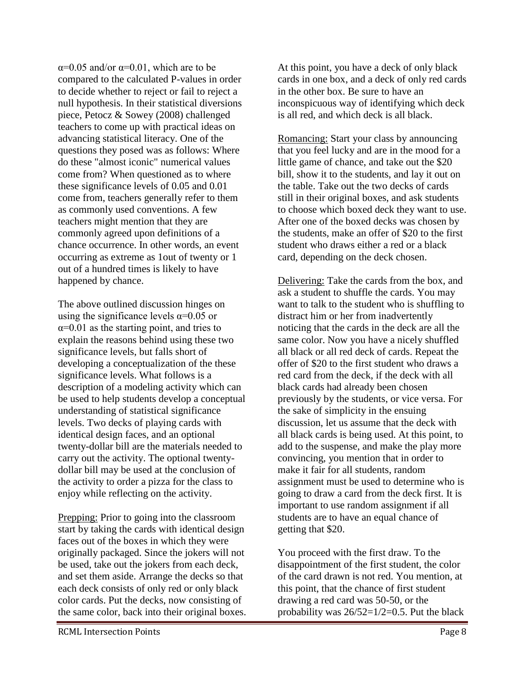$\alpha$ =0.05 and/or  $\alpha$ =0.01, which are to be compared to the calculated P-values in order to decide whether to reject or fail to reject a null hypothesis. In their statistical diversions piece, Petocz & Sowey (2008) challenged teachers to come up with practical ideas on advancing statistical literacy. One of the questions they posed was as follows: Where do these "almost iconic" numerical values come from? When questioned as to where these significance levels of 0.05 and 0.01 come from, teachers generally refer to them as commonly used conventions. A few teachers might mention that they are commonly agreed upon definitions of a chance occurrence. In other words, an event occurring as extreme as 1out of twenty or 1 out of a hundred times is likely to have happened by chance.

The above outlined discussion hinges on using the significance levels  $\alpha$ =0.05 or  $\alpha$ =0.01 as the starting point, and tries to explain the reasons behind using these two significance levels, but falls short of developing a conceptualization of the these significance levels. What follows is a description of a modeling activity which can be used to help students develop a conceptual understanding of statistical significance levels. Two decks of playing cards with identical design faces, and an optional twenty-dollar bill are the materials needed to carry out the activity. The optional twentydollar bill may be used at the conclusion of the activity to order a pizza for the class to enjoy while reflecting on the activity.

Prepping: Prior to going into the classroom start by taking the cards with identical design faces out of the boxes in which they were originally packaged. Since the jokers will not be used, take out the jokers from each deck, and set them aside. Arrange the decks so that each deck consists of only red or only black color cards. Put the decks, now consisting of the same color, back into their original boxes. At this point, you have a deck of only black cards in one box, and a deck of only red cards in the other box. Be sure to have an inconspicuous way of identifying which deck is all red, and which deck is all black.

Romancing: Start your class by announcing that you feel lucky and are in the mood for a little game of chance, and take out the \$20 bill, show it to the students, and lay it out on the table. Take out the two decks of cards still in their original boxes, and ask students to choose which boxed deck they want to use. After one of the boxed decks was chosen by the students, make an offer of \$20 to the first student who draws either a red or a black card, depending on the deck chosen.

Delivering: Take the cards from the box, and ask a student to shuffle the cards. You may want to talk to the student who is shuffling to distract him or her from inadvertently noticing that the cards in the deck are all the same color. Now you have a nicely shuffled all black or all red deck of cards. Repeat the offer of \$20 to the first student who draws a red card from the deck, if the deck with all black cards had already been chosen previously by the students, or vice versa. For the sake of simplicity in the ensuing discussion, let us assume that the deck with all black cards is being used. At this point, to add to the suspense, and make the play more convincing, you mention that in order to make it fair for all students, random assignment must be used to determine who is going to draw a card from the deck first. It is important to use random assignment if all students are to have an equal chance of getting that \$20.

You proceed with the first draw. To the disappointment of the first student, the color of the card drawn is not red. You mention, at this point, that the chance of first student drawing a red card was 50-50, or the probability was  $26/52=1/2=0.5$ . Put the black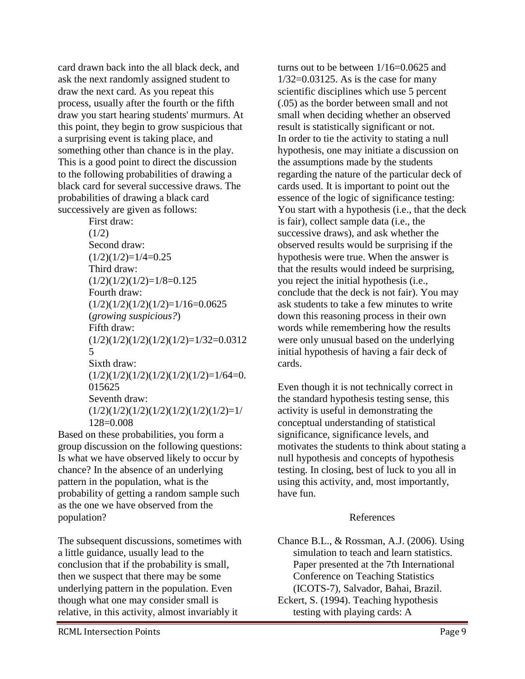card drawn back into the all black deck, and ask the next randomly assigned student to draw the next card. As you repeat this process, usually after the fourth or the fifth draw you start hearing students' murmurs. At this point, they begin to grow suspicious that a surprising event is taking place, and something other than chance is in the play. This is a good point to direct the discussion to the following probabilities of drawing a black card for several successive draws. The probabilities of drawing a black card successively are given as follows:

> First draw:  $(1/2)$ Second draw:  $(1/2)(1/2)=1/4=0.25$ Third draw:  $(1/2)(1/2)(1/2)=1/8=0.125$ Fourth draw:  $(1/2)(1/2)(1/2)(1/2)=1/16=0.0625$ (*growing suspicious?*) Fifth draw:  $(1/2)(1/2)(1/2)(1/2)(1/2)=1/32=0.0312$ 5 Sixth draw:  $(1/2)(1/2)(1/2)(1/2)(1/2)(1/2)=1/64=0.$ 015625 Seventh draw:  $(1/2)(1/2)(1/2)(1/2)(1/2)(1/2)(1/2)=1/$ 128=0.008

Based on these probabilities, you form a group discussion on the following questions: Is what we have observed likely to occur by chance? In the absence of an underlying pattern in the population, what is the probability of getting a random sample such as the one we have observed from the population?

The subsequent discussions, sometimes with a little guidance, usually lead to the conclusion that if the probability is small, then we suspect that there may be some underlying pattern in the population. Even though what one may consider small is relative, in this activity, almost invariably it

RCML Intersection Points **Page 9** 

turns out to be between 1/16=0.0625 and  $1/32=0.03125$ . As is the case for many scientific disciplines which use 5 percent (.05) as the border between small and not small when deciding whether an observed result is statistically significant or not. In order to tie the activity to stating a null hypothesis, one may initiate a discussion on the assumptions made by the students regarding the nature of the particular deck of cards used. It is important to point out the essence of the logic of significance testing: You start with a hypothesis (i.e., that the deck is fair), collect sample data (i.e., the successive draws), and ask whether the observed results would be surprising if the hypothesis were true. When the answer is that the results would indeed be surprising, you reject the initial hypothesis (i.e., conclude that the deck is not fair). You may ask students to take a few minutes to write down this reasoning process in their own words while remembering how the results were only unusual based on the underlying initial hypothesis of having a fair deck of cards.

Even though it is not technically correct in the standard hypothesis testing sense, this activity is useful in demonstrating the conceptual understanding of statistical significance, significance levels, and motivates the students to think about stating a null hypothesis and concepts of hypothesis testing. In closing, best of luck to you all in using this activity, and, most importantly, have fun.

### References

Chance B.L., & Rossman, A.J. (2006). Using simulation to teach and learn statistics. Paper presented at the 7th International Conference on Teaching Statistics (ICOTS-7), Salvador, Bahai, Brazil. Eckert, S. (1994). Teaching hypothesis

testing with playing cards: A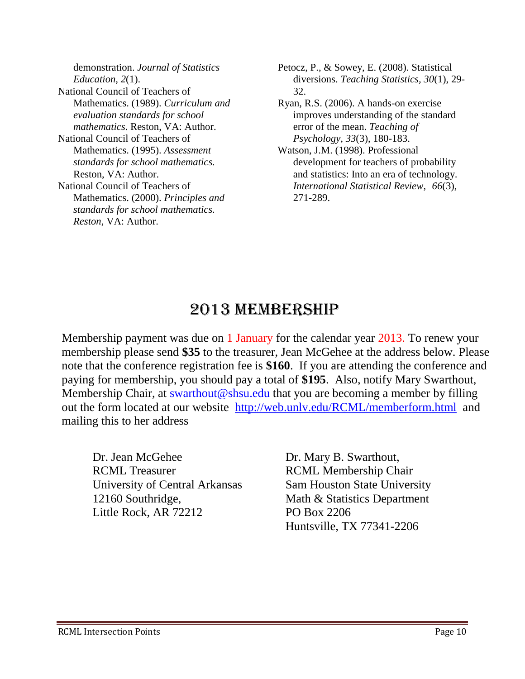demonstration. *Journal of Statistics Education, 2*(1). National Council of Teachers of Mathematics. (1989). *Curriculum and evaluation standards for school mathematics*. Reston, VA: Author. National Council of Teachers of Mathematics. (1995). *Assessment standards for school mathematics.* Reston, VA: Author. National Council of Teachers of Mathematics. (2000). *Principles and standards for school mathematics. Reston*, VA: Author.

Petocz, P., & Sowey, E. (2008). Statistical diversions. *Teaching Statistics, 30*(1), 29- 32.

Ryan, R.S. (2006). A hands-on exercise improves understanding of the standard error of the mean. *Teaching of Psychology, 33*(3), 180-183.

Watson, J.M. (1998). Professional development for teachers of probability and statistics: Into an era of technology. *International Statistical Review*, *66*(3), 271-289.

### 2013 MEMBERSHIP

Membership payment was due on 1 January for the calendar year 2013. To renew your membership please send **\$35** to the treasurer, Jean McGehee at the address below. Please note that the conference registration fee is **\$160**. If you are attending the conference and paying for membership, you should pay a total of **\$195**. Also, notify Mary Swarthout, Membership Chair, at [swarthout@shsu.edu](mailto:swarthout@shsu.edu) that you are becoming a member by filling out the form located at our website [http://web.unlv.edu/RCML/memberform.html](file:///C:/Documents%20and%20Settings/wkuuser/My%20Documents/RCML%20Newsletter/%22) and mailing this to her address

Dr. Jean McGehee Dr. Mary B. Swarthout, RCML Treasurer RCML Membership Chair University of Central Arkansas Sam Houston State University 12160 Southridge, Math & Statistics Department Little Rock, AR 72212 PO Box 2206

Huntsville, TX 77341-2206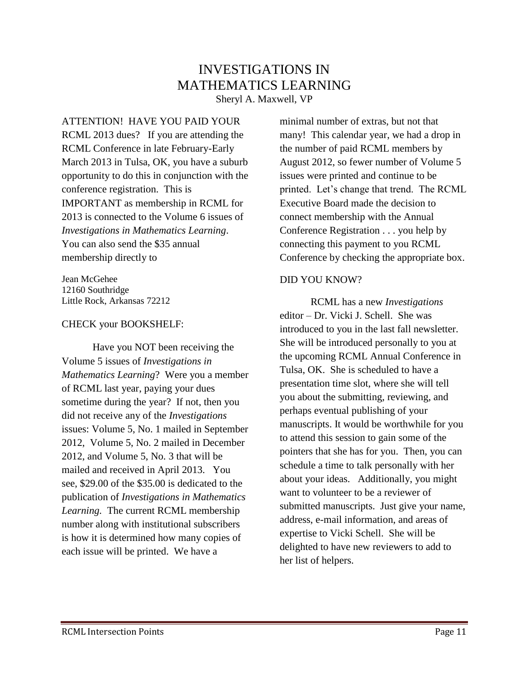### INVESTIGATIONS IN MATHEMATICS LEARNING

Sheryl A. Maxwell, VP

ATTENTION! HAVE YOU PAID YOUR RCML 2013 dues? If you are attending the RCML Conference in late February-Early March 2013 in Tulsa, OK, you have a suburb opportunity to do this in conjunction with the conference registration. This is IMPORTANT as membership in RCML for 2013 is connected to the Volume 6 issues of *Investigations in Mathematics Learning*. You can also send the \$35 annual membership directly to

Jean McGehee 12160 Southridge Little Rock, Arkansas 72212

#### CHECK your BOOKSHELF:

Have you NOT been receiving the Volume 5 issues of *Investigations in Mathematics Learning*? Were you a member of RCML last year, paying your dues sometime during the year? If not, then you did not receive any of the *Investigations*  issues: Volume 5, No. 1 mailed in September 2012, Volume 5, No. 2 mailed in December 2012, and Volume 5, No. 3 that will be mailed and received in April 2013. You see, \$29.00 of the \$35.00 is dedicated to the publication of *Investigations in Mathematics Learning.* The current RCML membership number along with institutional subscribers is how it is determined how many copies of each issue will be printed. We have a

minimal number of extras, but not that many! This calendar year, we had a drop in the number of paid RCML members by August 2012, so fewer number of Volume 5 issues were printed and continue to be printed. Let's change that trend. The RCML Executive Board made the decision to connect membership with the Annual Conference Registration . . . you help by connecting this payment to you RCML Conference by checking the appropriate box.

### DID YOU KNOW?

RCML has a new *Investigations*  editor – Dr. Vicki J. Schell. She was introduced to you in the last fall newsletter. She will be introduced personally to you at the upcoming RCML Annual Conference in Tulsa, OK. She is scheduled to have a presentation time slot, where she will tell you about the submitting, reviewing, and perhaps eventual publishing of your manuscripts. It would be worthwhile for you to attend this session to gain some of the pointers that she has for you. Then, you can schedule a time to talk personally with her about your ideas. Additionally, you might want to volunteer to be a reviewer of submitted manuscripts. Just give your name, address, e-mail information, and areas of expertise to Vicki Schell. She will be delighted to have new reviewers to add to her list of helpers.